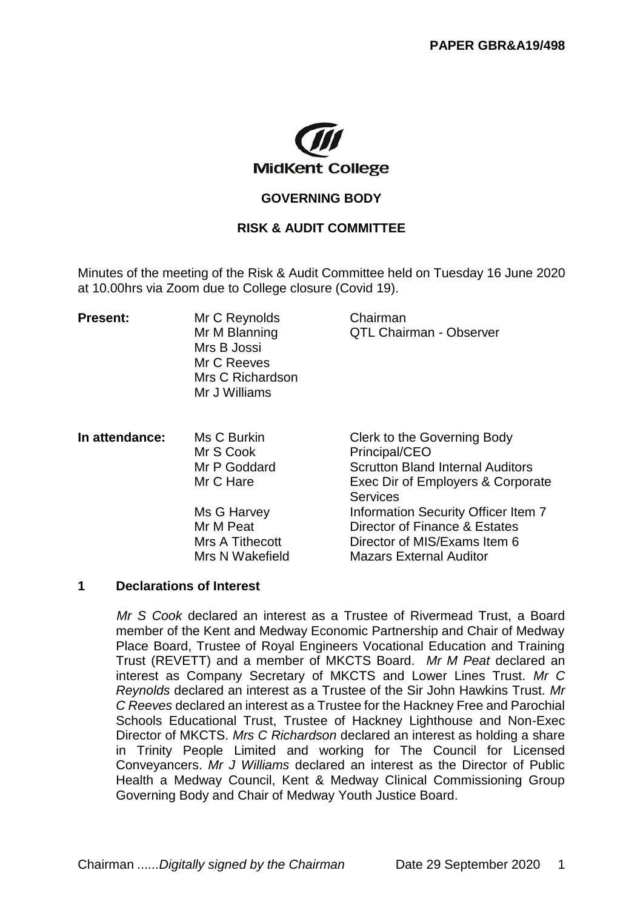

# **GOVERNING BODY**

### **RISK & AUDIT COMMITTEE**

Minutes of the meeting of the Risk & Audit Committee held on Tuesday 16 June 2020 at 10.00hrs via Zoom due to College closure (Covid 19).

| <b>Present:</b> | Mr C Reynolds<br>Mr M Blanning<br>Mrs B Jossi<br>Mr C Reeves<br>Mrs C Richardson<br>Mr J Williams | Chairman<br>QTL Chairman - Observer                                                                                                             |
|-----------------|---------------------------------------------------------------------------------------------------|-------------------------------------------------------------------------------------------------------------------------------------------------|
| In attendance:  | Ms C Burkin<br>Mr S Cook<br>Mr P Goddard<br>Mr C Hare                                             | Clerk to the Governing Body<br>Principal/CEO<br><b>Scrutton Bland Internal Auditors</b><br>Exec Dir of Employers & Corporate<br><b>Services</b> |
|                 | Ms G Harvey<br>Mr M Peat<br>Mrs A Tithecott<br>Mrs N Wakefield                                    | Information Security Officer Item 7<br>Director of Finance & Estates<br>Director of MIS/Exams Item 6<br><b>Mazars External Auditor</b>          |

#### **1 Declarations of Interest**

*Mr S Cook* declared an interest as a Trustee of Rivermead Trust, a Board member of the Kent and Medway Economic Partnership and Chair of Medway Place Board, Trustee of Royal Engineers Vocational Education and Training Trust (REVETT) and a member of MKCTS Board. *Mr M Peat* declared an interest as Company Secretary of MKCTS and Lower Lines Trust. *Mr C Reynolds* declared an interest as a Trustee of the Sir John Hawkins Trust. *Mr C Reeves* declared an interest as a Trustee for the Hackney Free and Parochial Schools Educational Trust, Trustee of Hackney Lighthouse and Non-Exec Director of MKCTS. *Mrs C Richardson* declared an interest as holding a share in Trinity People Limited and working for The Council for Licensed Conveyancers. *Mr J Williams* declared an interest as the Director of Public Health a Medway Council, Kent & Medway Clinical Commissioning Group Governing Body and Chair of Medway Youth Justice Board.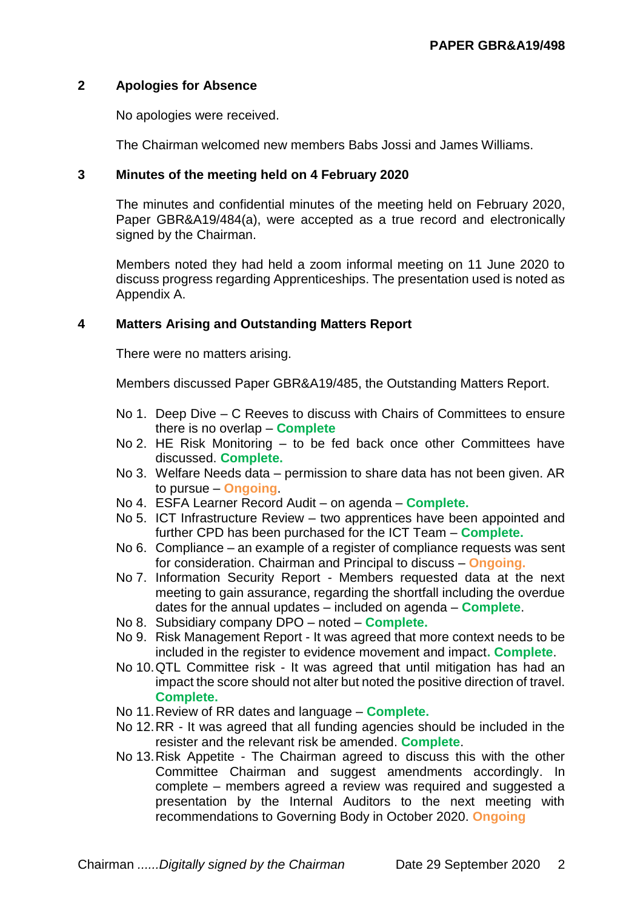## **2 Apologies for Absence**

No apologies were received.

The Chairman welcomed new members Babs Jossi and James Williams.

### **3 Minutes of the meeting held on 4 February 2020**

The minutes and confidential minutes of the meeting held on February 2020, Paper GBR&A19/484(a), were accepted as a true record and electronically signed by the Chairman.

Members noted they had held a zoom informal meeting on 11 June 2020 to discuss progress regarding Apprenticeships. The presentation used is noted as Appendix A.

### **4 Matters Arising and Outstanding Matters Report**

There were no matters arising.

Members discussed Paper GBR&A19/485, the Outstanding Matters Report.

- No 1. Deep Dive C Reeves to discuss with Chairs of Committees to ensure there is no overlap – **Complete**
- No 2. HE Risk Monitoring to be fed back once other Committees have discussed. **Complete.**
- No 3. Welfare Needs data permission to share data has not been given. AR to pursue – **Ongoing**.
- No 4. ESFA Learner Record Audit on agenda **Complete.**
- No 5. ICT Infrastructure Review two apprentices have been appointed and further CPD has been purchased for the ICT Team – **Complete.**
- No 6. Compliance an example of a register of compliance requests was sent for consideration. Chairman and Principal to discuss – **Ongoing.**
- No 7. Information Security Report Members requested data at the next meeting to gain assurance, regarding the shortfall including the overdue dates for the annual updates – included on agenda – **Complete**.
- No 8. Subsidiary company DPO noted **Complete.**
- No 9. Risk Management Report It was agreed that more context needs to be included in the register to evidence movement and impact**. Complete**.
- No 10.QTL Committee risk It was agreed that until mitigation has had an impact the score should not alter but noted the positive direction of travel. **Complete.**
- No 11.Review of RR dates and language **Complete.**
- No 12.RR It was agreed that all funding agencies should be included in the resister and the relevant risk be amended. **Complete**.
- No 13.Risk Appetite The Chairman agreed to discuss this with the other Committee Chairman and suggest amendments accordingly. In complete – members agreed a review was required and suggested a presentation by the Internal Auditors to the next meeting with recommendations to Governing Body in October 2020. **Ongoing**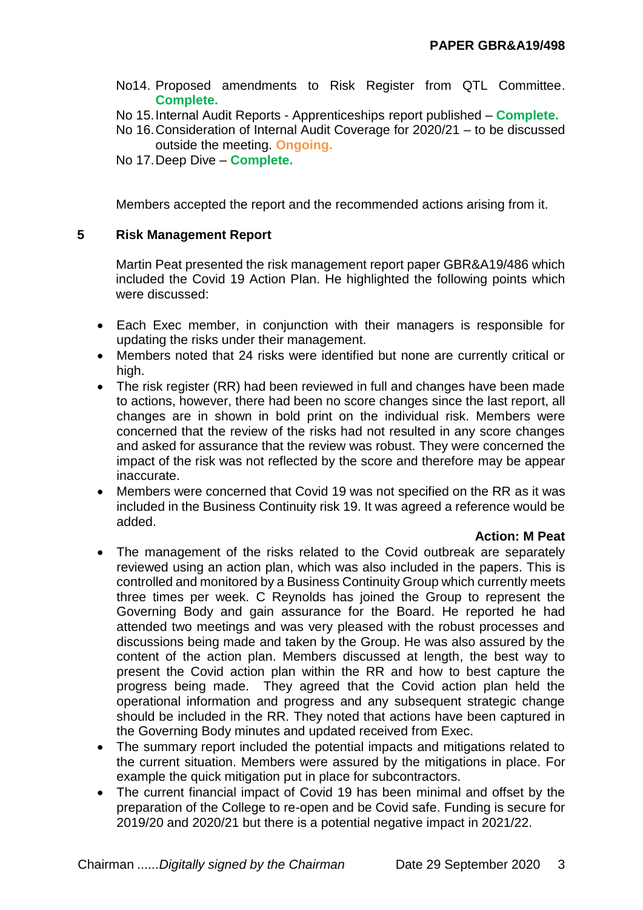- No14. Proposed amendments to Risk Register from QTL Committee. **Complete.**
- No 15.Internal Audit Reports Apprenticeships report published **Complete.**
- No 16.Consideration of Internal Audit Coverage for 2020/21 to be discussed outside the meeting. **Ongoing.**
- No 17.Deep Dive **Complete.**

Members accepted the report and the recommended actions arising from it.

### **5 Risk Management Report**

Martin Peat presented the risk management report paper GBR&A19/486 which included the Covid 19 Action Plan. He highlighted the following points which were discussed:

- Each Exec member, in conjunction with their managers is responsible for updating the risks under their management.
- Members noted that 24 risks were identified but none are currently critical or high.
- The risk register (RR) had been reviewed in full and changes have been made to actions, however, there had been no score changes since the last report, all changes are in shown in bold print on the individual risk. Members were concerned that the review of the risks had not resulted in any score changes and asked for assurance that the review was robust. They were concerned the impact of the risk was not reflected by the score and therefore may be appear inaccurate.
- Members were concerned that Covid 19 was not specified on the RR as it was included in the Business Continuity risk 19. It was agreed a reference would be added.

#### **Action: M Peat**

- The management of the risks related to the Covid outbreak are separately reviewed using an action plan, which was also included in the papers. This is controlled and monitored by a Business Continuity Group which currently meets three times per week. C Reynolds has joined the Group to represent the Governing Body and gain assurance for the Board. He reported he had attended two meetings and was very pleased with the robust processes and discussions being made and taken by the Group. He was also assured by the content of the action plan. Members discussed at length, the best way to present the Covid action plan within the RR and how to best capture the progress being made. They agreed that the Covid action plan held the operational information and progress and any subsequent strategic change should be included in the RR. They noted that actions have been captured in the Governing Body minutes and updated received from Exec.
- The summary report included the potential impacts and mitigations related to the current situation. Members were assured by the mitigations in place. For example the quick mitigation put in place for subcontractors.
- The current financial impact of Covid 19 has been minimal and offset by the preparation of the College to re-open and be Covid safe. Funding is secure for 2019/20 and 2020/21 but there is a potential negative impact in 2021/22.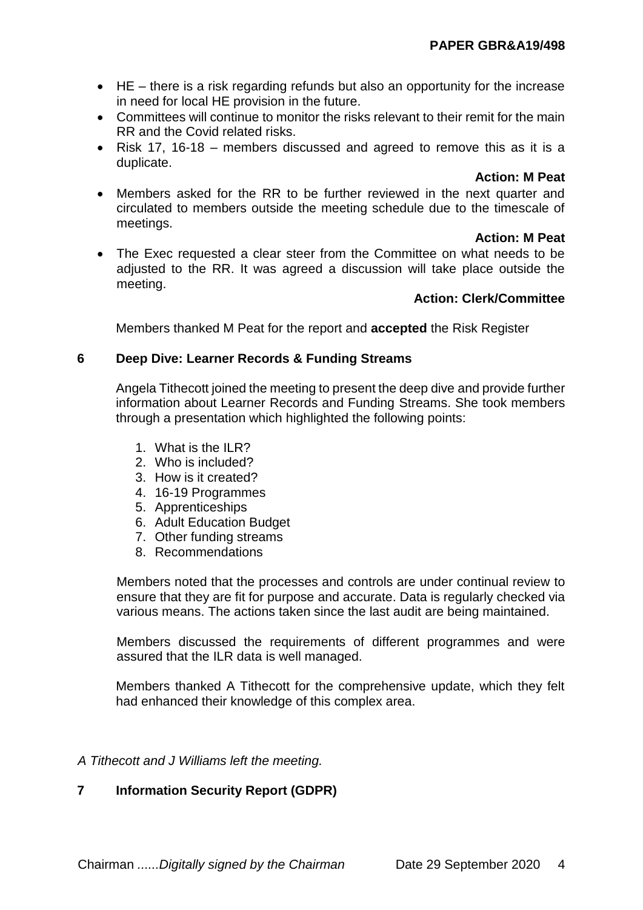- $\bullet$  HE there is a risk regarding refunds but also an opportunity for the increase in need for local HE provision in the future.
- Committees will continue to monitor the risks relevant to their remit for the main RR and the Covid related risks.
- Risk 17, 16-18 members discussed and agreed to remove this as it is a duplicate.

### **Action: M Peat**

 Members asked for the RR to be further reviewed in the next quarter and circulated to members outside the meeting schedule due to the timescale of meetings.

### **Action: M Peat**

 The Exec requested a clear steer from the Committee on what needs to be adjusted to the RR. It was agreed a discussion will take place outside the meeting.

# **Action: Clerk/Committee**

Members thanked M Peat for the report and **accepted** the Risk Register

# **6 Deep Dive: Learner Records & Funding Streams**

Angela Tithecott joined the meeting to present the deep dive and provide further information about Learner Records and Funding Streams. She took members through a presentation which highlighted the following points:

- 1. What is the ILR?
- 2. Who is included?
- 3. How is it created?
- 4. 16-19 Programmes
- 5. Apprenticeships
- 6. Adult Education Budget
- 7. Other funding streams
- 8. Recommendations

Members noted that the processes and controls are under continual review to ensure that they are fit for purpose and accurate. Data is regularly checked via various means. The actions taken since the last audit are being maintained.

Members discussed the requirements of different programmes and were assured that the ILR data is well managed.

Members thanked A Tithecott for the comprehensive update, which they felt had enhanced their knowledge of this complex area.

### *A Tithecott and J Williams left the meeting.*

# **7 Information Security Report (GDPR)**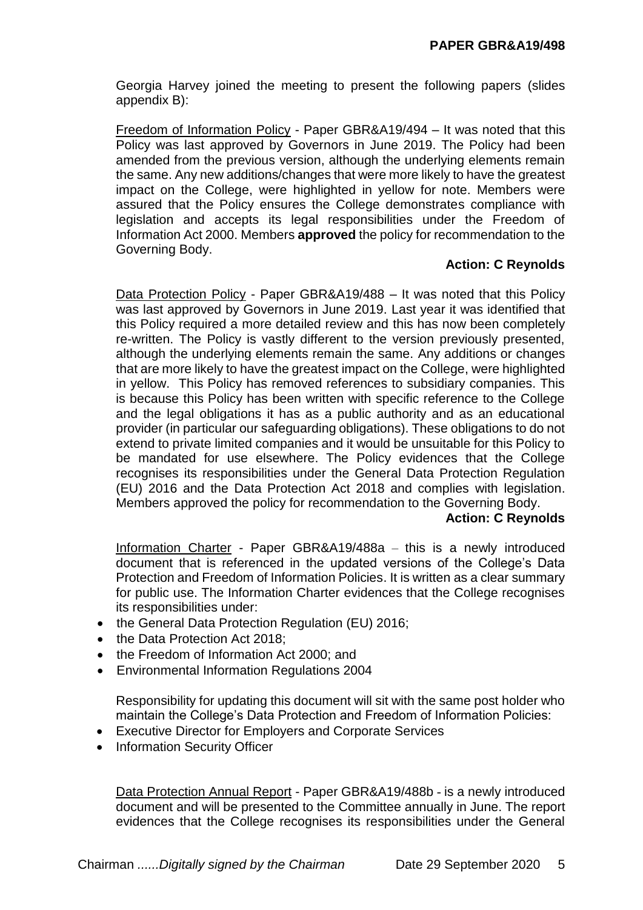Georgia Harvey joined the meeting to present the following papers (slides appendix B):

Freedom of Information Policy - Paper GBR&A19/494 – It was noted that this Policy was last approved by Governors in June 2019. The Policy had been amended from the previous version, although the underlying elements remain the same. Any new additions/changes that were more likely to have the greatest impact on the College, were highlighted in yellow for note. Members were assured that the Policy ensures the College demonstrates compliance with legislation and accepts its legal responsibilities under the Freedom of Information Act 2000. Members **approved** the policy for recommendation to the Governing Body.

### **Action: C Reynolds**

Data Protection Policy - Paper GBR&A19/488 – It was noted that this Policy was last approved by Governors in June 2019. Last year it was identified that this Policy required a more detailed review and this has now been completely re-written. The Policy is vastly different to the version previously presented, although the underlying elements remain the same. Any additions or changes that are more likely to have the greatest impact on the College, were highlighted in yellow. This Policy has removed references to subsidiary companies. This is because this Policy has been written with specific reference to the College and the legal obligations it has as a public authority and as an educational provider (in particular our safeguarding obligations). These obligations to do not extend to private limited companies and it would be unsuitable for this Policy to be mandated for use elsewhere. The Policy evidences that the College recognises its responsibilities under the General Data Protection Regulation (EU) 2016 and the Data Protection Act 2018 and complies with legislation. Members approved the policy for recommendation to the Governing Body.

### **Action: C Reynolds**

Information Charter - Paper GBR&A19/488a – this is a newly introduced document that is referenced in the updated versions of the College's Data Protection and Freedom of Information Policies. It is written as a clear summary for public use. The Information Charter evidences that the College recognises its responsibilities under:

- the General Data Protection Regulation (EU) 2016;
- the Data Protection Act 2018:
- the Freedom of Information Act 2000; and
- Environmental Information Regulations 2004

Responsibility for updating this document will sit with the same post holder who maintain the College's Data Protection and Freedom of Information Policies:

- Executive Director for Employers and Corporate Services
- Information Security Officer

Data Protection Annual Report - Paper GBR&A19/488b - is a newly introduced document and will be presented to the Committee annually in June. The report evidences that the College recognises its responsibilities under the General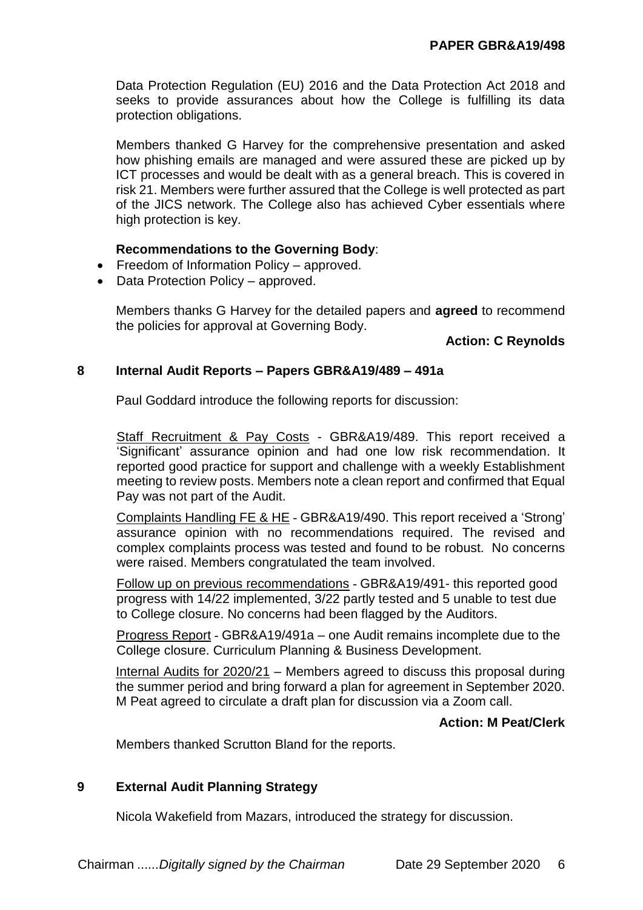Data Protection Regulation (EU) 2016 and the Data Protection Act 2018 and seeks to provide assurances about how the College is fulfilling its data protection obligations.

Members thanked G Harvey for the comprehensive presentation and asked how phishing emails are managed and were assured these are picked up by ICT processes and would be dealt with as a general breach. This is covered in risk 21. Members were further assured that the College is well protected as part of the JICS network. The College also has achieved Cyber essentials where high protection is key.

### **Recommendations to the Governing Body**:

- Freedom of Information Policy approved.
- Data Protection Policy approved.

Members thanks G Harvey for the detailed papers and **agreed** to recommend the policies for approval at Governing Body.

## **Action: C Reynolds**

### **8 Internal Audit Reports – Papers GBR&A19/489 – 491a**

Paul Goddard introduce the following reports for discussion:

Staff Recruitment & Pay Costs - GBR&A19/489. This report received a 'Significant' assurance opinion and had one low risk recommendation. It reported good practice for support and challenge with a weekly Establishment meeting to review posts. Members note a clean report and confirmed that Equal Pay was not part of the Audit.

Complaints Handling FE & HE - GBR&A19/490. This report received a 'Strong' assurance opinion with no recommendations required. The revised and complex complaints process was tested and found to be robust. No concerns were raised. Members congratulated the team involved.

Follow up on previous recommendations - GBR&A19/491- this reported good progress with 14/22 implemented, 3/22 partly tested and 5 unable to test due to College closure. No concerns had been flagged by the Auditors.

Progress Report - GBR&A19/491a – one Audit remains incomplete due to the College closure. Curriculum Planning & Business Development.

Internal Audits for 2020/21 – Members agreed to discuss this proposal during the summer period and bring forward a plan for agreement in September 2020. M Peat agreed to circulate a draft plan for discussion via a Zoom call.

### **Action: M Peat/Clerk**

Members thanked Scrutton Bland for the reports.

### **9 External Audit Planning Strategy**

Nicola Wakefield from Mazars, introduced the strategy for discussion.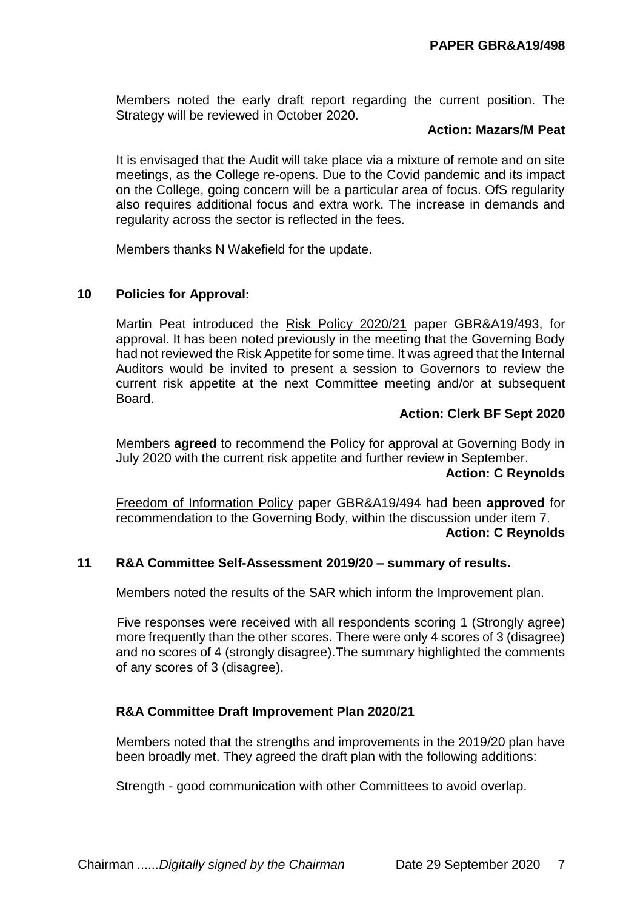Members noted the early draft report regarding the current position. The Strategy will be reviewed in October 2020.

### **Action: Mazars/M Peat**

It is envisaged that the Audit will take place via a mixture of remote and on site meetings, as the College re-opens. Due to the Covid pandemic and its impact on the College, going concern will be a particular area of focus. OfS regularity also requires additional focus and extra work. The increase in demands and regularity across the sector is reflected in the fees.

Members thanks N Wakefield for the update.

### **10 Policies for Approval:**

Martin Peat introduced the Risk Policy 2020/21 paper GBR&A19/493, for approval. It has been noted previously in the meeting that the Governing Body had not reviewed the Risk Appetite for some time. It was agreed that the Internal Auditors would be invited to present a session to Governors to review the current risk appetite at the next Committee meeting and/or at subsequent Board.

### **Action: Clerk BF Sept 2020**

Members **agreed** to recommend the Policy for approval at Governing Body in July 2020 with the current risk appetite and further review in September.

#### **Action: C Reynolds**

Freedom of Information Policy paper GBR&A19/494 had been **approved** for recommendation to the Governing Body, within the discussion under item 7. **Action: C Reynolds**

# **11 R&A Committee Self-Assessment 2019/20 – summary of results.**

Members noted the results of the SAR which inform the Improvement plan.

Five responses were received with all respondents scoring 1 (Strongly agree) more frequently than the other scores. There were only 4 scores of 3 (disagree) and no scores of 4 (strongly disagree).The summary highlighted the comments of any scores of 3 (disagree).

### **R&A Committee Draft Improvement Plan 2020/21**

Members noted that the strengths and improvements in the 2019/20 plan have been broadly met. They agreed the draft plan with the following additions:

Strength - good communication with other Committees to avoid overlap.